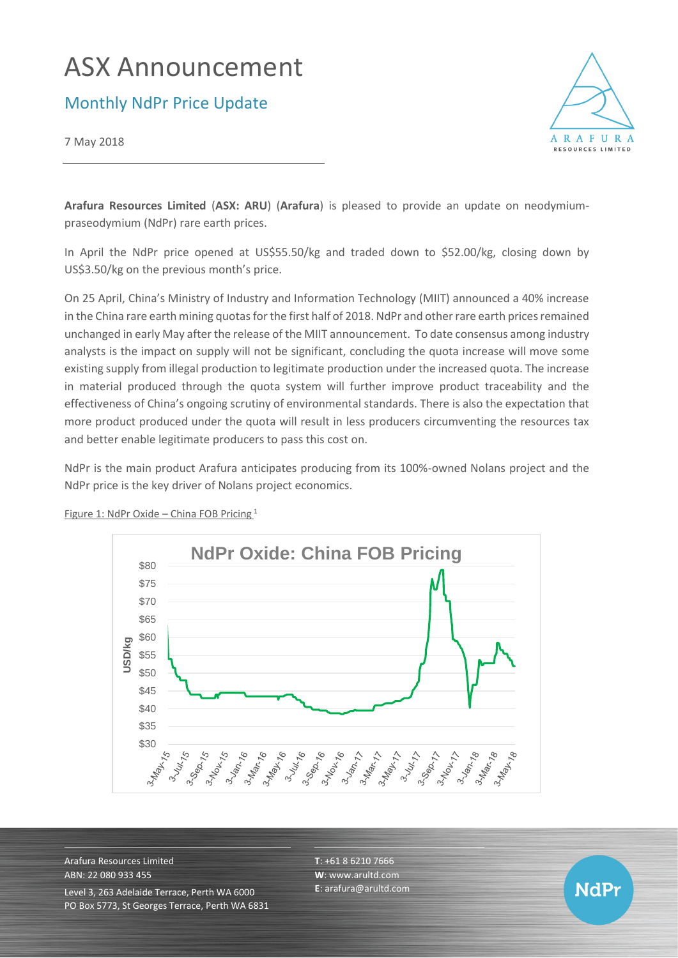# ASX Announcement

Monthly NdPr Price Update

7 May 2018



**NdPr** 

**Arafura Resources Limited** (**ASX: ARU**) (**Arafura**) is pleased to provide an update on neodymiumpraseodymium (NdPr) rare earth prices.

In April the NdPr price opened at US\$55.50/kg and traded down to \$52.00/kg, closing down by US\$3.50/kg on the previous month's price.

On 25 April, China's Ministry of Industry and Information Technology (MIIT) announced a 40% increase in the China rare earth mining quotas for the first half of 2018. NdPr and other rare earth prices remained unchanged in early May after the release of the MIIT announcement. To date consensus among industry analysts is the impact on supply will not be significant, concluding the quota increase will move some existing supply from illegal production to legitimate production under the increased quota. The increase in material produced through the quota system will further improve product traceability and the effectiveness of China's ongoing scrutiny of environmental standards. There is also the expectation that more product produced under the quota will result in less producers circumventing the resources tax and better enable legitimate producers to pass this cost on.

NdPr is the main product Arafura anticipates producing from its 100%-owned Nolans project and the NdPr price is the key driver of Nolans project economics.



Figure 1: NdPr Oxide – China FOB Pricing  $1$ 

Arafura Resources Limited ABN: 22 080 933 455 Level 3, 263 Adelaide Terrace, Perth WA 6000 PO Box 5773, St Georges Terrace, Perth WA 6831 **T**: +61 8 6210 7666 **W**: [www.arultd.com](http://www.arultd.com/) **E**[: arafura@arultd.com](mailto:arafura@arultd.com)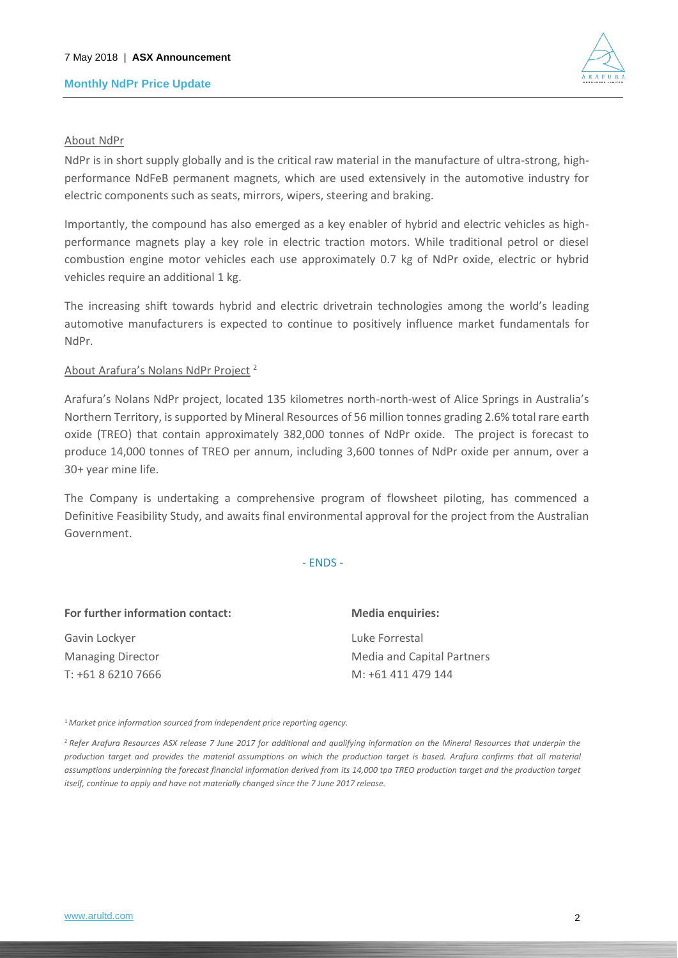## **Monthly NdPr Price Update**



### About NdPr

NdPr is in short supply globally and is the critical raw material in the manufacture of ultra-strong, highperformance NdFeB permanent magnets, which are used extensively in the automotive industry for electric components such as seats, mirrors, wipers, steering and braking.

Importantly, the compound has also emerged as a key enabler of hybrid and electric vehicles as highperformance magnets play a key role in electric traction motors. While traditional petrol or diesel combustion engine motor vehicles each use approximately 0.7 kg of NdPr oxide, electric or hybrid vehicles require an additional 1 kg.

The increasing shift towards hybrid and electric drivetrain technologies among the world's leading automotive manufacturers is expected to continue to positively influence market fundamentals for NdPr.

#### About Arafura's Nolans NdPr Project <sup>2</sup>

Arafura's Nolans NdPr project, located 135 kilometres north-north-west of Alice Springs in Australia's Northern Territory, is supported by Mineral Resources of 56 million tonnes grading 2.6% total rare earth oxide (TREO) that contain approximately 382,000 tonnes of NdPr oxide. The project is forecast to produce 14,000 tonnes of TREO per annum, including 3,600 tonnes of NdPr oxide per annum, over a 30+ year mine life.

The Company is undertaking a comprehensive program of flowsheet piloting, has commenced a Definitive Feasibility Study, and awaits final environmental approval for the project from the Australian Government.

#### - ENDS -

| For further information contact: | <b>Media enquiries:</b>    |
|----------------------------------|----------------------------|
| Gavin Lockyer                    | Luke Forrestal             |
| <b>Managing Director</b>         | Media and Capital Partners |
| T: +61 8 6210 7666               | M: +61 411 479 144         |

<sup>1</sup>*Market price information sourced from independent price reporting agency.*

<sup>2</sup>*Refer Arafura Resources ASX release 7 June 2017 for additional and qualifying information on the Mineral Resources that underpin the production target and provides the material assumptions on which the production target is based. Arafura confirms that all material*  assumptions underpinning the forecast financial information derived from its 14,000 tpa TREO production target and the production target *itself, continue to apply and have not materially changed since the 7 June 2017 release.*